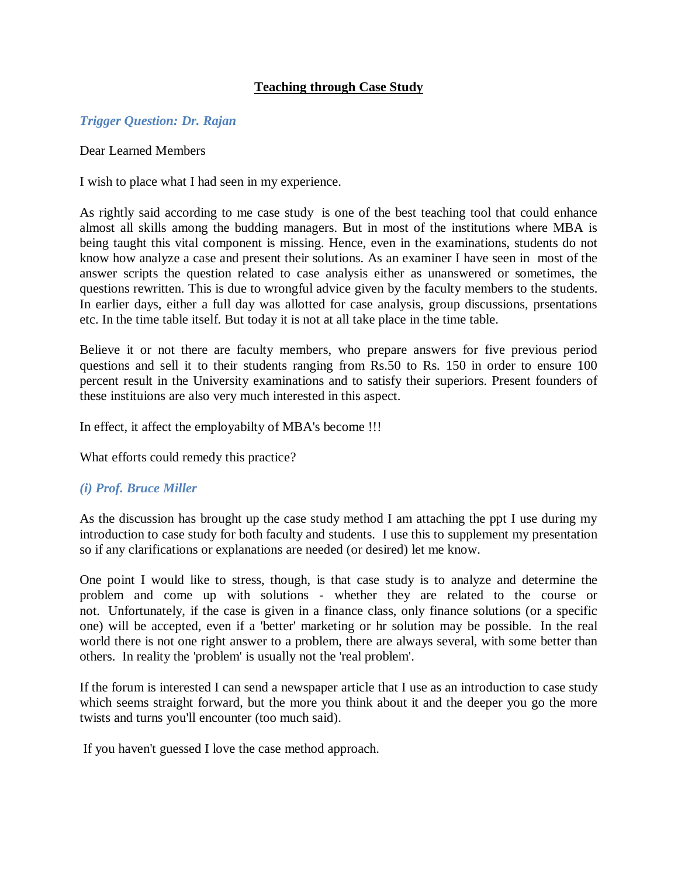# **Teaching through Case Study**

### *Trigger Question: Dr. Rajan*

#### Dear Learned Members

I wish to place what I had seen in my experience.

As rightly said according to me case study is one of the best teaching tool that could enhance almost all skills among the budding managers. But in most of the institutions where MBA is being taught this vital component is missing. Hence, even in the examinations, students do not know how analyze a case and present their solutions. As an examiner I have seen in most of the answer scripts the question related to case analysis either as unanswered or sometimes, the questions rewritten. This is due to wrongful advice given by the faculty members to the students. In earlier days, either a full day was allotted for case analysis, group discussions, prsentations etc. In the time table itself. But today it is not at all take place in the time table.

Believe it or not there are faculty members, who prepare answers for five previous period questions and sell it to their students ranging from Rs.50 to Rs. 150 in order to ensure 100 percent result in the University examinations and to satisfy their superiors. Present founders of these instituions are also very much interested in this aspect.

In effect, it affect the employabilty of MBA's become !!!

What efforts could remedy this practice?

### *(i) Prof. Bruce Miller*

As the discussion has brought up the case study method I am attaching the ppt I use during my introduction to case study for both faculty and students. I use this to supplement my presentation so if any clarifications or explanations are needed (or desired) let me know.

One point I would like to stress, though, is that case study is to analyze and determine the problem and come up with solutions - whether they are related to the course or not. Unfortunately, if the case is given in a finance class, only finance solutions (or a specific one) will be accepted, even if a 'better' marketing or hr solution may be possible. In the real world there is not one right answer to a problem, there are always several, with some better than others. In reality the 'problem' is usually not the 'real problem'.

If the forum is interested I can send a newspaper article that I use as an introduction to case study which seems straight forward, but the more you think about it and the deeper you go the more twists and turns you'll encounter (too much said).

If you haven't guessed I love the case method approach.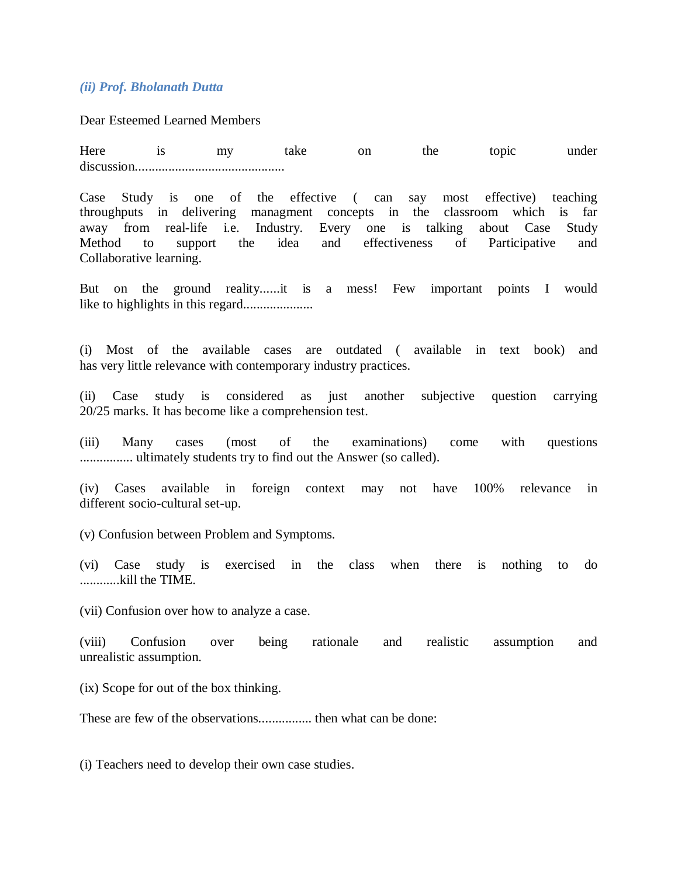## *(ii) Prof. Bholanath Dutta*

Dear Esteemed Learned Members

Here is my take on the topic under discussion.............................................

Case Study is one of the effective ( can say most effective) teaching throughputs in delivering managment concepts in the classroom which is far away from real-life i.e. Industry. Every one is talking about Case Study Method to support the idea and effectiveness of Participative and Collaborative learning.

But on the ground reality......it is a mess! Few important points I would like to highlights in this regard.....................

(i) Most of the available cases are outdated ( available in text book) and has very little relevance with contemporary industry practices.

(ii) Case study is considered as just another subjective question carrying 20/25 marks. It has become like a comprehension test.

(iii) Many cases (most of the examinations) come with questions ................ ultimately students try to find out the Answer (so called).

(iv) Cases available in foreign context may not have 100% relevance in different socio-cultural set-up.

(v) Confusion between Problem and Symptoms.

(vi) Case study is exercised in the class when there is nothing to do ............kill the TIME.

(vii) Confusion over how to analyze a case.

(viii) Confusion over being rationale and realistic assumption and unrealistic assumption.

(ix) Scope for out of the box thinking.

These are few of the observations................ then what can be done:

(i) Teachers need to develop their own case studies.